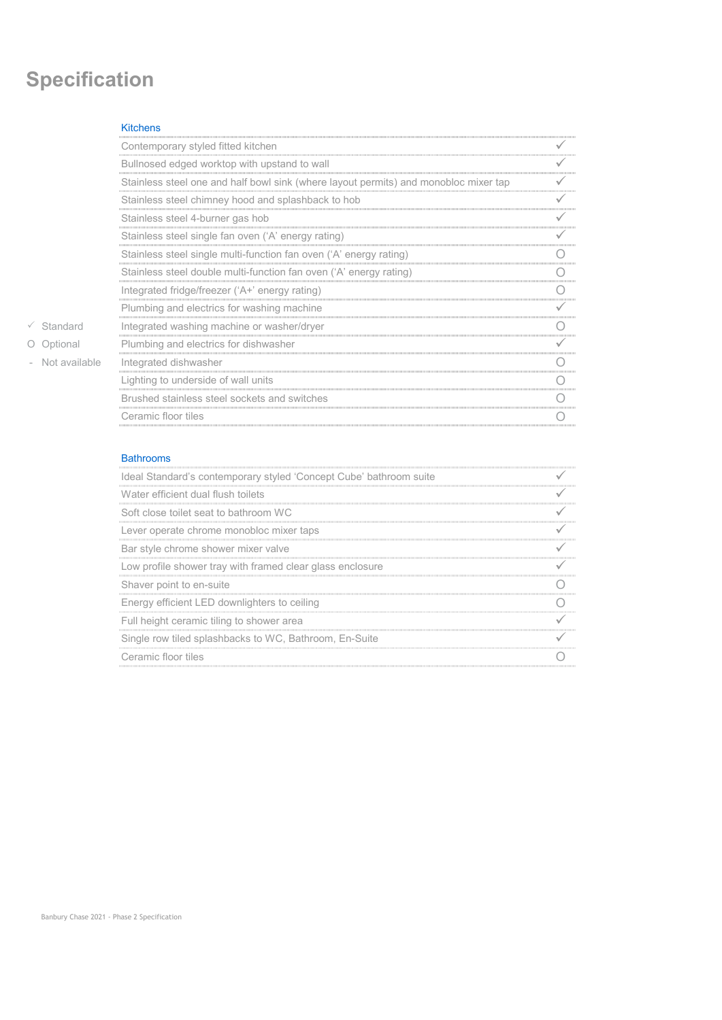# **Specification**

## Kitchens

|                 | Contemporary styled fitted kitchen                                                   |  |
|-----------------|--------------------------------------------------------------------------------------|--|
|                 | Bullnosed edged worktop with upstand to wall                                         |  |
|                 | Stainless steel one and half bowl sink (where layout permits) and monobloc mixer tap |  |
|                 | Stainless steel chimney hood and splashback to hob                                   |  |
|                 | Stainless steel 4-burner gas hob                                                     |  |
|                 | Stainless steel single fan oven ('A' energy rating)                                  |  |
|                 | Stainless steel single multi-function fan oven ('A' energy rating)                   |  |
|                 | Stainless steel double multi-function fan oven ('A' energy rating)                   |  |
|                 | Integrated fridge/freezer ('A+' energy rating)                                       |  |
|                 | Plumbing and electrics for washing machine                                           |  |
| √ Standard      | Integrated washing machine or washer/dryer                                           |  |
| O Optional      | Plumbing and electrics for dishwasher                                                |  |
| - Not available | Integrated dishwasher                                                                |  |
|                 | Lighting to underside of wall units                                                  |  |
|                 | Brushed stainless steel sockets and switches                                         |  |
|                 | Ceramic floor tiles                                                                  |  |
|                 |                                                                                      |  |

#### **Bathrooms**

| Ideal Standard's contemporary styled 'Concept Cube' bathroom suite |  |
|--------------------------------------------------------------------|--|
| Water efficient dual flush toilets                                 |  |
| Soft close toilet seat to bathroom WC                              |  |
| Lever operate chrome monobloc mixer taps                           |  |
| Bar style chrome shower mixer valve                                |  |
| Low profile shower tray with framed clear glass enclosure          |  |
| Shaver point to en-suite                                           |  |
| Energy efficient LED downlighters to ceiling                       |  |
| Full height ceramic tiling to shower area                          |  |
| Single row tiled splashbacks to WC, Bathroom, En-Suite             |  |
| Ceramic floor tiles                                                |  |